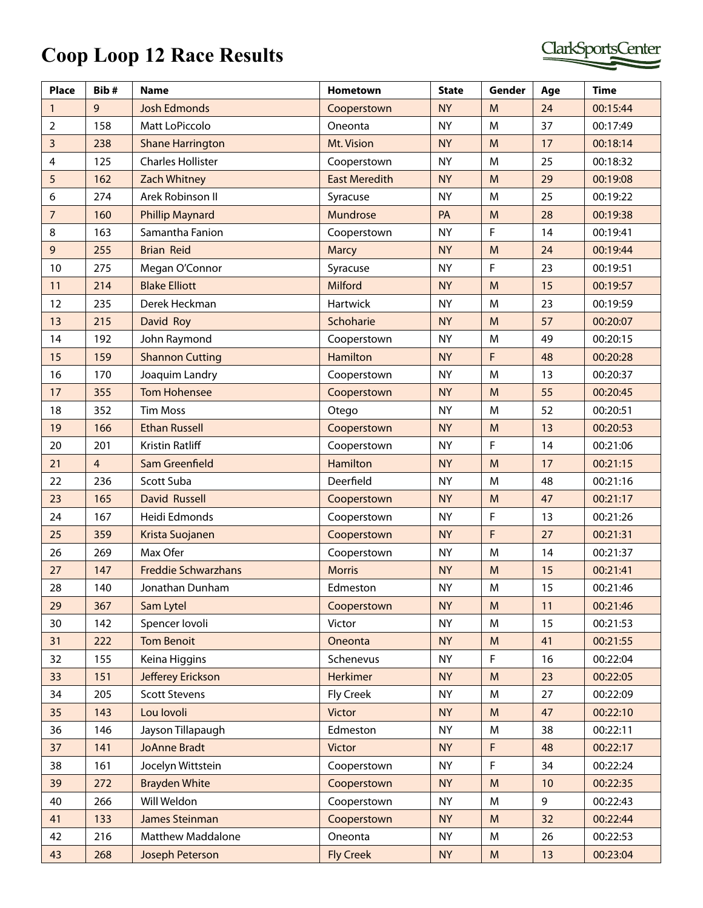## **Coop Loop**

|  | op Loop 12 Race Results |  |
|--|-------------------------|--|

| <b>Place</b>   | Bib#           | <b>Name</b>                | <b>Hometown</b>      | <b>State</b> | Gender    | Age | <b>Time</b> |
|----------------|----------------|----------------------------|----------------------|--------------|-----------|-----|-------------|
| $\mathbf{1}$   | 9              | <b>Josh Edmonds</b>        | Cooperstown          | <b>NY</b>    | M         | 24  | 00:15:44    |
| $\overline{2}$ | 158            | Matt LoPiccolo             | Oneonta              | <b>NY</b>    | M         | 37  | 00:17:49    |
| $\overline{3}$ | 238            | <b>Shane Harrington</b>    | Mt. Vision           | <b>NY</b>    | M         | 17  | 00:18:14    |
| 4              | 125            | <b>Charles Hollister</b>   | Cooperstown          | <b>NY</b>    | M         | 25  | 00:18:32    |
| $\overline{5}$ | 162            | <b>Zach Whitney</b>        | <b>East Meredith</b> | <b>NY</b>    | M         | 29  | 00:19:08    |
| 6              | 274            | Arek Robinson II           | Syracuse             | <b>NY</b>    | M         | 25  | 00:19:22    |
| $\overline{7}$ | 160            | <b>Phillip Maynard</b>     | Mundrose             | PA           | M         | 28  | 00:19:38    |
| 8              | 163            | Samantha Fanion            | Cooperstown          | <b>NY</b>    | F         | 14  | 00:19:41    |
| $\mathsf 9$    | 255            | <b>Brian Reid</b>          | <b>Marcy</b>         | <b>NY</b>    | M         | 24  | 00:19:44    |
| 10             | 275            | Megan O'Connor             | Syracuse             | <b>NY</b>    | F.        | 23  | 00:19:51    |
| 11             | 214            | <b>Blake Elliott</b>       | <b>Milford</b>       | <b>NY</b>    | M         | 15  | 00:19:57    |
| 12             | 235            | Derek Heckman              | Hartwick             | <b>NY</b>    | M         | 23  | 00:19:59    |
| 13             | 215            | David Roy                  | Schoharie            | <b>NY</b>    | M         | 57  | 00:20:07    |
| 14             | 192            | John Raymond               | Cooperstown          | <b>NY</b>    | M         | 49  | 00:20:15    |
| 15             | 159            | <b>Shannon Cutting</b>     | <b>Hamilton</b>      | <b>NY</b>    | F         | 48  | 00:20:28    |
| 16             | 170            | Joaquim Landry             | Cooperstown          | <b>NY</b>    | M         | 13  | 00:20:37    |
| 17             | 355            | <b>Tom Hohensee</b>        | Cooperstown          | <b>NY</b>    | M         | 55  | 00:20:45    |
| 18             | 352            | <b>Tim Moss</b>            | Otego                | <b>NY</b>    | M         | 52  | 00:20:51    |
| 19             | 166            | <b>Ethan Russell</b>       | Cooperstown          | <b>NY</b>    | M         | 13  | 00:20:53    |
| 20             | 201            | Kristin Ratliff            | Cooperstown          | <b>NY</b>    | F         | 14  | 00:21:06    |
| 21             | $\overline{4}$ | Sam Greenfield             | <b>Hamilton</b>      | <b>NY</b>    | M         | 17  | 00:21:15    |
| 22             | 236            | Scott Suba                 | Deerfield            | <b>NY</b>    | M         | 48  | 00:21:16    |
| 23             | 165            | <b>David Russell</b>       | Cooperstown          | <b>NY</b>    | M         | 47  | 00:21:17    |
| 24             | 167            | Heidi Edmonds              | Cooperstown          | <b>NY</b>    | F         | 13  | 00:21:26    |
| 25             | 359            | Krista Suojanen            | Cooperstown          | <b>NY</b>    | F         | 27  | 00:21:31    |
| 26             | 269            | Max Ofer                   | Cooperstown          | <b>NY</b>    | M         | 14  | 00:21:37    |
| 27             | 147            | <b>Freddie Schwarzhans</b> | <b>Morris</b>        | <b>NY</b>    | M         | 15  | 00:21:41    |
| 28             | 140            | Jonathan Dunham            | Edmeston             | <b>NY</b>    | M         | 15  | 00:21:46    |
| 29             | 367            | Sam Lytel                  | Cooperstown          | <b>NY</b>    | M         | 11  | 00:21:46    |
| 30             | 142            | Spencer lovoli             | Victor               | <b>NY</b>    | M         | 15  | 00:21:53    |
| 31             | 222            | <b>Tom Benoit</b>          | Oneonta              | <b>NY</b>    | M         | 41  | 00:21:55    |
| 32             | 155            | Keina Higgins              | Schenevus            | <b>NY</b>    | F         | 16  | 00:22:04    |
| 33             | 151            | Jefferey Erickson          | Herkimer             | <b>NY</b>    | M         | 23  | 00:22:05    |
| 34             | 205            | <b>Scott Stevens</b>       | Fly Creek            | <b>NY</b>    | M         | 27  | 00:22:09    |
| 35             | 143            | Lou lovoli                 | <b>Victor</b>        | <b>NY</b>    | M         | 47  | 00:22:10    |
| 36             | 146            | Jayson Tillapaugh          | Edmeston             | <b>NY</b>    | M         | 38  | 00:22:11    |
| 37             | 141            | <b>JoAnne Bradt</b>        | <b>Victor</b>        | <b>NY</b>    | F         | 48  | 00:22:17    |
| 38             | 161            | Jocelyn Wittstein          | Cooperstown          | <b>NY</b>    | F         | 34  | 00:22:24    |
| 39             | 272            | <b>Brayden White</b>       | Cooperstown          | <b>NY</b>    | M         | 10  | 00:22:35    |
| 40             | 266            | Will Weldon                | Cooperstown          | <b>NY</b>    | M         | 9   | 00:22:43    |
| 41             | 133            | James Steinman             | Cooperstown          | <b>NY</b>    | M         | 32  | 00:22:44    |
| 42             | 216            | <b>Matthew Maddalone</b>   | Oneonta              | <b>NY</b>    | M         | 26  | 00:22:53    |
| 43             | 268            | Joseph Peterson            | <b>Fly Creek</b>     | <b>NY</b>    | ${\sf M}$ | 13  | 00:23:04    |

ClarkSportsCenter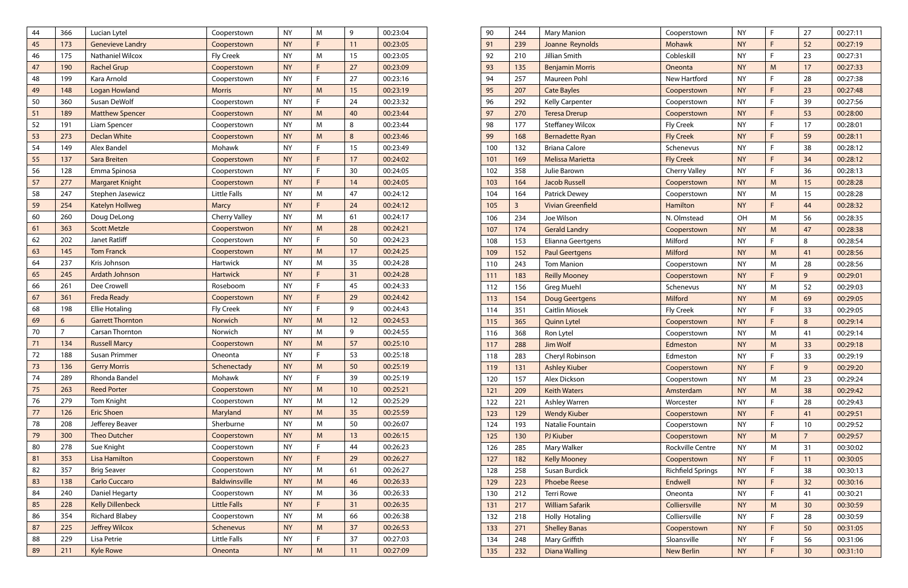| 90  | 244            | <b>Mary Manion</b>       | Cooperstown              | <b>NY</b> | $\mathsf F$  | 27              | 00:27:11 |
|-----|----------------|--------------------------|--------------------------|-----------|--------------|-----------------|----------|
| 91  | 239            | Joanne Reynolds          | <b>Mohawk</b>            | <b>NY</b> | $\mathsf F$  | 52              | 00:27:19 |
| 92  | 210            | Jillian Smith            | Cobleskill               | <b>NY</b> | F            | 23              | 00:27:31 |
| 93  | 135            | <b>Benjamin Morris</b>   | Oneonta                  | <b>NY</b> | M            | 17              | 00:27:33 |
| 94  | 257            | Maureen Pohl             | <b>New Hartford</b>      | <b>NY</b> | $\mathsf F$  | 28              | 00:27:38 |
| 95  | 207            | <b>Cate Bayles</b>       | Cooperstown              | <b>NY</b> | F            | 23              | 00:27:48 |
| 96  | 292            | Kelly Carpenter          | Cooperstown              | <b>NY</b> | $\mathsf F$  | 39              | 00:27:56 |
| 97  | 270            | <b>Teresa Drerup</b>     | Cooperstown              | <b>NY</b> | F            | 53              | 00:28:00 |
| 98  | 177            | <b>Steffaney Wilcox</b>  | <b>Fly Creek</b>         | <b>NY</b> | $\mathsf F$  | 17              | 00:28:01 |
| 99  | 168            | <b>Bernadette Ryan</b>   | <b>Fly Creek</b>         | <b>NY</b> | F            | 59              | 00:28:11 |
| 100 | 132            | <b>Briana Calore</b>     | Schenevus                | <b>NY</b> | $\mathsf{F}$ | 38              | 00:28:12 |
| 101 | 169            | <b>Melissa Marietta</b>  | <b>Fly Creek</b>         | <b>NY</b> | F            | 34              | 00:28:12 |
| 102 | 358            | Julie Barown             | <b>Cherry Valley</b>     | <b>NY</b> | $\mathsf F$  | 36              | 00:28:13 |
| 103 | 164            | <b>Jacob Russell</b>     | Cooperstown              | <b>NY</b> | M            | 15              | 00:28:28 |
| 104 | 164            | Patrick Dewey            | Cooperstown              | <b>NY</b> | M            | 15              | 00:28:28 |
| 105 | $\overline{3}$ | <b>Vivian Greenfield</b> | <b>Hamilton</b>          | <b>NY</b> | F            | 44              | 00:28:32 |
| 106 | 234            | Joe Wilson               | N. Olmstead              | OH        | M            | 56              | 00:28:35 |
| 107 | 174            | <b>Gerald Landry</b>     | Cooperstown              | <b>NY</b> | M            | 47              | 00:28:38 |
| 108 | 153            | Elianna Geertgens        | Milford                  | <b>NY</b> | F            | 8               | 00:28:54 |
| 109 | 152            | <b>Paul Geertgens</b>    | Milford                  | <b>NY</b> | M            | 41              | 00:28:56 |
| 110 | 243            | <b>Tom Manion</b>        | Cooperstown              | <b>NY</b> | M            | 28              | 00:28:56 |
| 111 | 183            | <b>Reilly Mooney</b>     | Cooperstown              | <b>NY</b> | F            | $\overline{9}$  | 00:29:01 |
| 112 | 156            | <b>Greg Muehl</b>        | Schenevus                | <b>NY</b> | M            | 52              | 00:29:03 |
| 113 | 154            | <b>Doug Geertgens</b>    | <b>Milford</b>           | <b>NY</b> | M            | 69              | 00:29:05 |
| 114 | 351            | <b>Caitlin Miosek</b>    | Fly Creek                | <b>NY</b> | F            | 33              | 00:29:05 |
| 115 | 365            | <b>Quinn Lytel</b>       | Cooperstown              | <b>NY</b> | F            | 8               | 00:29:14 |
| 116 | 368            | Ron Lytel                | Cooperstown              | <b>NY</b> | M            | 41              | 00:29:14 |
| 117 | 288            | <b>Jim Wolf</b>          | Edmeston                 | <b>NY</b> | M            | 33              | 00:29:18 |
| 118 | 283            | Cheryl Robinson          | Edmeston                 | <b>NY</b> | F            | 33              | 00:29:19 |
| 119 | 131            | <b>Ashley Kiuber</b>     | Cooperstown              | <b>NY</b> | F            | 9               | 00:29:20 |
| 120 | 157            | Alex Dickson             | Cooperstown              | <b>NY</b> | M            | 23              | 00:29:24 |
| 121 | 209            | <b>Keith Waters</b>      | Amsterdam                | <b>NY</b> | M            | 38              | 00:29:42 |
| 122 | 221            | Ashley Warren            | Worcester                | <b>NY</b> | F.           | 28              | 00:29:43 |
| 123 | 129            | <b>Wendy Kiuber</b>      | Cooperstown              | <b>NY</b> | F            | 41              | 00:29:51 |
| 124 | 193            | Natalie Fountain         | Cooperstown              | <b>NY</b> | $\mathsf F$  | 10              | 00:29:52 |
| 125 | 130            | PJ Kiuber                | Cooperstown              | <b>NY</b> | M            | $7\overline{ }$ | 00:29:57 |
| 126 | 285            | Mary Walker              | Rockville Centre         | <b>NY</b> | M            | 31              | 00:30:02 |
| 127 | 182            | <b>Kelly Mooney</b>      | Cooperstown              | <b>NY</b> | F            | 11              | 00:30:05 |
| 128 | 258            | Susan Burdick            | <b>Richfield Springs</b> | <b>NY</b> | F            | 38              | 00:30:13 |
| 129 | 223            | <b>Phoebe Reese</b>      | Endwell                  | <b>NY</b> | F            | 32              | 00:30:16 |
| 130 | 212            | <b>Terri Rowe</b>        | Oneonta                  | <b>NY</b> | F            | 41              | 00:30:21 |
| 131 | 217            | <b>William Safarik</b>   | Colliersville            | <b>NY</b> | M            | 30              | 00:30:59 |
| 132 | 218            | Holly Hotaling           | Colliersville            | <b>NY</b> | F            | 28              | 00:30:59 |
| 133 | 271            | <b>Shelley Banas</b>     | Cooperstown              | <b>NY</b> | F            | 50              | 00:31:05 |
| 134 | 248            | Mary Griffith            | Sloansville              | <b>NY</b> | F            | 56              | 00:31:06 |
| 135 | 232            | <b>Diana Walling</b>     | <b>New Berlin</b>        | <b>NY</b> | F            | 30 <sub>2</sub> | 00:31:10 |

| 44 | 366            | Lucian Lytel            | Cooperstown          | <b>NY</b> | M         | 9  | 00:23:04 |
|----|----------------|-------------------------|----------------------|-----------|-----------|----|----------|
| 45 | 173            | <b>Genevieve Landry</b> | Cooperstown          | <b>NY</b> | F.        | 11 | 00:23:05 |
| 46 | 175            | Nathaniel Wilcox        | <b>Fly Creek</b>     | <b>NY</b> | M         | 15 | 00:23:05 |
| 47 | 190            | <b>Rachel Grup</b>      | Cooperstown          | <b>NY</b> | F         | 27 | 00:23:09 |
| 48 | 199            | Kara Arnold             | Cooperstown          | <b>NY</b> | F         | 27 | 00:23:16 |
| 49 | 148            | <b>Logan Howland</b>    | <b>Morris</b>        | <b>NY</b> | M         | 15 | 00:23:19 |
| 50 | 360            | Susan DeWolf            | Cooperstown          | <b>NY</b> | F         | 24 | 00:23:32 |
| 51 | 189            | <b>Matthew Spencer</b>  | Cooperstown          | <b>NY</b> | M         | 40 | 00:23:44 |
| 52 | 191            | Liam Spencer            | Cooperstown          | <b>NY</b> | M         | 8  | 00:23:44 |
| 53 | 273            | <b>Declan White</b>     | Cooperstown          | <b>NY</b> | M         | 8  | 00:23:46 |
| 54 | 149            | <b>Alex Bandel</b>      | Mohawk               | <b>NY</b> | F.        | 15 | 00:23:49 |
| 55 | 137            | <b>Sara Breiten</b>     | Cooperstown          | <b>NY</b> | F         | 17 | 00:24:02 |
| 56 | 128            | Emma Spinosa            | Cooperstown          | <b>NY</b> | F         | 30 | 00:24:05 |
| 57 | 277            | <b>Margaret Knight</b>  | Cooperstown          | <b>NY</b> | F         | 14 | 00:24:05 |
| 58 | 247            | Stephen Jasewicz        | <b>Little Falls</b>  | <b>NY</b> | M         | 47 | 00:24:12 |
| 59 | 254            | <b>Katelyn Hollweg</b>  | <b>Marcy</b>         | <b>NY</b> | F         | 24 | 00:24:12 |
| 60 | 260            | Doug DeLong             | Cherry Valley        | <b>NY</b> | M         | 61 | 00:24:17 |
| 61 | 363            | <b>Scott Metzle</b>     | Cooperstwon          | <b>NY</b> | M         | 28 | 00:24:21 |
| 62 | 202            | Janet Ratliff           | Cooperstown          | <b>NY</b> | F         | 50 | 00:24:23 |
| 63 | 145            | <b>Tom Franck</b>       | Cooperstown          | <b>NY</b> | M         | 17 | 00:24:25 |
| 64 | 237            | Kris Johnson            | Hartwick             | <b>NY</b> | M         | 35 | 00:24:28 |
| 65 | 245            | Ardath Johnson          | <b>Hartwick</b>      | <b>NY</b> | F         | 31 | 00:24:28 |
| 66 | 261            | Dee Crowell             | Roseboom             | NY        | F         | 45 | 00:24:33 |
| 67 | 361            | <b>Freda Ready</b>      | Cooperstown          | <b>NY</b> | F         | 29 | 00:24:42 |
| 68 | 198            | <b>Ellie Hotaling</b>   | <b>Fly Creek</b>     | <b>NY</b> | F         | 9  | 00:24:43 |
| 69 | 6              | <b>Garrett Thornton</b> | Norwich              | <b>NY</b> | M         | 12 | 00:24:53 |
| 70 | $\overline{7}$ | Carsan Thornton         | Norwich              | <b>NY</b> | M         | 9  | 00:24:55 |
| 71 | 134            | <b>Russell Marcy</b>    | Cooperstown          | <b>NY</b> | M         | 57 | 00:25:10 |
| 72 | 188            | Susan Primmer           | Oneonta              | <b>NY</b> | F         | 53 | 00:25:18 |
| 73 | 136            | <b>Gerry Morris</b>     | Schenectady          | <b>NY</b> | M         | 50 | 00:25:19 |
| 74 | 289            | Rhonda Bandel           | Mohawk               | <b>NY</b> | F         | 39 | 00:25:19 |
| 75 | 263            | <b>Reed Porter</b>      | Cooperstown          | <b>NY</b> | M         | 10 | 00:25:21 |
| 76 | 279            | Tom Knight              | Cooperstown          | <b>NY</b> | M         | 12 | 00:25:29 |
| 77 | 126            | <b>Eric Shoen</b>       | Maryland             | <b>NY</b> | M         | 35 | 00:25:59 |
| 78 | 208            | Jefferey Beaver         | Sherburne            | <b>NY</b> | M         | 50 | 00:26:07 |
| 79 | 300            | <b>Theo Dutcher</b>     | Cooperstown          | <b>NY</b> | M         | 13 | 00:26:15 |
| 80 | 278            | Sue Knight              | Cooperstown          | <b>NY</b> | F         | 44 | 00:26:23 |
| 81 | 353            | <b>Lisa Hamilton</b>    | Cooperstown          | <b>NY</b> | F         | 29 | 00:26:27 |
| 82 | 357            | <b>Brig Seaver</b>      | Cooperstown          | <b>NY</b> | M         | 61 | 00:26:27 |
| 83 | 138            | <b>Carlo Cuccaro</b>    | <b>Baldwinsville</b> | <b>NY</b> | M         | 46 | 00:26:33 |
| 84 | 240            | Daniel Hegarty          | Cooperstown          | <b>NY</b> | M         | 36 | 00:26:33 |
| 85 | 228            | <b>Kelly Dillenbeck</b> | <b>Little Falls</b>  | <b>NY</b> | F         | 31 | 00:26:35 |
| 86 | 354            | <b>Richard Blabey</b>   | Cooperstown          | <b>NY</b> | M         | 66 | 00:26:38 |
| 87 | 225            | <b>Jeffrey Wilcox</b>   | Schenevus            | <b>NY</b> | M         | 37 | 00:26:53 |
| 88 | 229            | Lisa Petrie             | Little Falls         | <b>NY</b> | F.        | 37 | 00:27:03 |
| 89 | 211            | <b>Kyle Rowe</b>        | Oneonta              | <b>NY</b> | ${\sf M}$ | 11 | 00:27:09 |